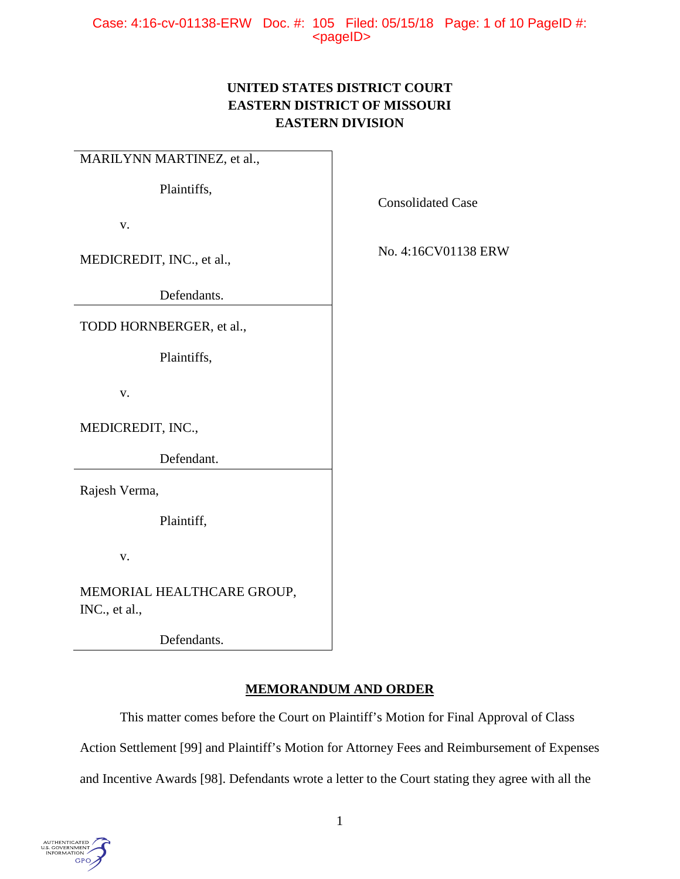# **UNITED STATES DISTRICT COURT EASTERN DISTRICT OF MISSOURI EASTERN DIVISION**

MARILYNN MARTINEZ, et al., Plaintiffs, v. MEDICREDIT, INC., et al., Defendants. Consolidated Case No. 4:16CV01138 ERW TODD HORNBERGER, et al., Plaintiffs, v. MEDICREDIT, INC., Defendant. Rajesh Verma, Plaintiff, v. MEMORIAL HEALTHCARE GROUP, INC., et al., Defendants.

# **MEMORANDUM AND ORDER**

This matter comes before the Court on Plaintiff's Motion for Final Approval of Class Action Settlement [99] and Plaintiff's Motion for Attorney Fees and Reimbursement of Expenses

and Incentive Awards [98]. Defendants wrote a letter to the Court stating they agree with all the

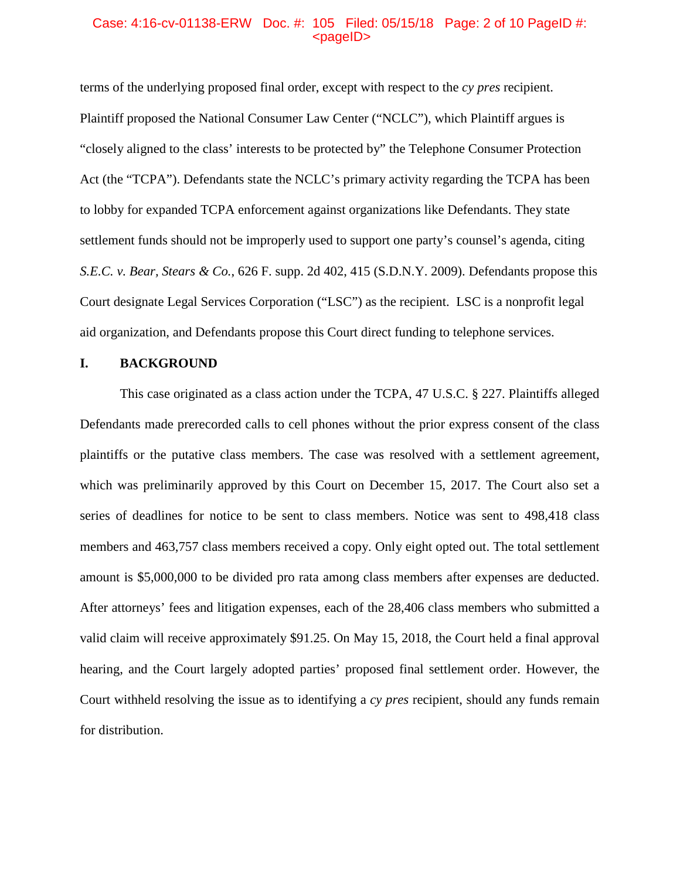# Case: 4:16-cv-01138-ERW Doc. #: 105 Filed: 05/15/18 Page: 2 of 10 PageID #:  $<$ pageID $>$

terms of the underlying proposed final order, except with respect to the *cy pres* recipient. Plaintiff proposed the National Consumer Law Center ("NCLC"), which Plaintiff argues is "closely aligned to the class' interests to be protected by" the Telephone Consumer Protection Act (the "TCPA"). Defendants state the NCLC's primary activity regarding the TCPA has been to lobby for expanded TCPA enforcement against organizations like Defendants. They state settlement funds should not be improperly used to support one party's counsel's agenda, citing *S.E.C. v. Bear, Stears & Co.*, 626 F. supp. 2d 402, 415 (S.D.N.Y. 2009). Defendants propose this Court designate Legal Services Corporation ("LSC") as the recipient. LSC is a nonprofit legal aid organization, and Defendants propose this Court direct funding to telephone services.

# **I. BACKGROUND**

This case originated as a class action under the TCPA, 47 U.S.C. § 227. Plaintiffs alleged Defendants made prerecorded calls to cell phones without the prior express consent of the class plaintiffs or the putative class members. The case was resolved with a settlement agreement, which was preliminarily approved by this Court on December 15, 2017. The Court also set a series of deadlines for notice to be sent to class members. Notice was sent to 498,418 class members and 463,757 class members received a copy. Only eight opted out. The total settlement amount is \$5,000,000 to be divided pro rata among class members after expenses are deducted. After attorneys' fees and litigation expenses, each of the 28,406 class members who submitted a valid claim will receive approximately \$91.25. On May 15, 2018, the Court held a final approval hearing, and the Court largely adopted parties' proposed final settlement order. However, the Court withheld resolving the issue as to identifying a *cy pres* recipient, should any funds remain for distribution.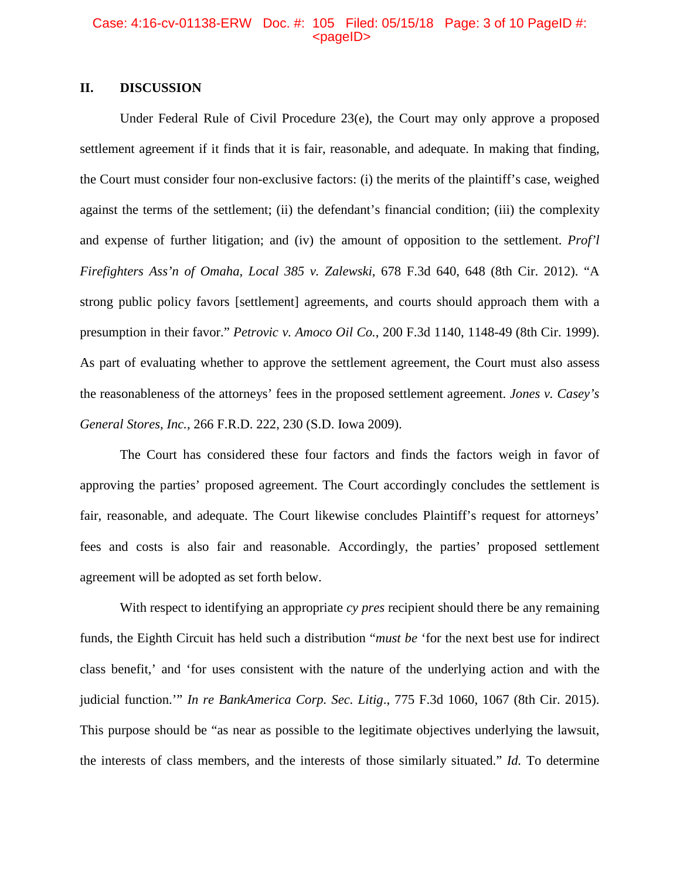# Case: 4:16-cv-01138-ERW Doc. #: 105 Filed: 05/15/18 Page: 3 of 10 PageID #:  $<$ pageID $>$

# **II. DISCUSSION**

Under Federal Rule of Civil Procedure 23(e), the Court may only approve a proposed settlement agreement if it finds that it is fair, reasonable, and adequate. In making that finding, the Court must consider four non-exclusive factors: (i) the merits of the plaintiff's case, weighed against the terms of the settlement; (ii) the defendant's financial condition; (iii) the complexity and expense of further litigation; and (iv) the amount of opposition to the settlement. *Prof'l Firefighters Ass'n of Omaha, Local 385 v. Zalewski*, 678 F.3d 640, 648 (8th Cir. 2012). "A strong public policy favors [settlement] agreements, and courts should approach them with a presumption in their favor." *Petrovic v. Amoco Oil Co.*, 200 F.3d 1140, 1148-49 (8th Cir. 1999). As part of evaluating whether to approve the settlement agreement, the Court must also assess the reasonableness of the attorneys' fees in the proposed settlement agreement. *Jones v. Casey's General Stores, Inc.*, 266 F.R.D. 222, 230 (S.D. Iowa 2009).

The Court has considered these four factors and finds the factors weigh in favor of approving the parties' proposed agreement. The Court accordingly concludes the settlement is fair, reasonable, and adequate. The Court likewise concludes Plaintiff's request for attorneys' fees and costs is also fair and reasonable. Accordingly, the parties' proposed settlement agreement will be adopted as set forth below.

With respect to identifying an appropriate *cy pres* recipient should there be any remaining funds, the Eighth Circuit has held such a distribution "*must be* 'for the next best use for indirect class benefit,' and 'for uses consistent with the nature of the underlying action and with the judicial function.'" *In re BankAmerica Corp. Sec. Litig*., 775 F.3d 1060, 1067 (8th Cir. 2015). This purpose should be "as near as possible to the legitimate objectives underlying the lawsuit, the interests of class members, and the interests of those similarly situated." *Id.* To determine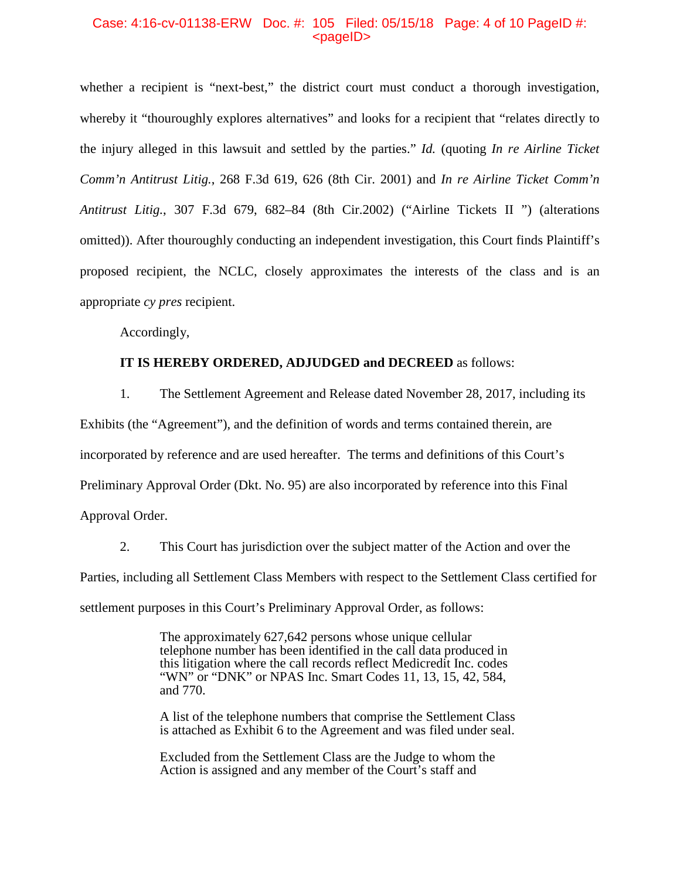### Case: 4:16-cv-01138-ERW Doc. #: 105 Filed: 05/15/18 Page: 4 of 10 PageID #:  $<$ pageID $>$

whether a recipient is "next-best," the district court must conduct a thorough investigation, whereby it "thouroughly explores alternatives" and looks for a recipient that "relates directly to the injury alleged in this lawsuit and settled by the parties." *Id.* (quoting *In re Airline Ticket Comm'n Antitrust Litig.*, 268 F.3d 619, 626 (8th Cir. 2001) and *In re Airline Ticket Comm'n Antitrust Litig.*, 307 F.3d 679, 682–84 (8th Cir.2002) ("Airline Tickets II ") (alterations omitted)). After thouroughly conducting an independent investigation, this Court finds Plaintiff's proposed recipient, the NCLC, closely approximates the interests of the class and is an appropriate *cy pres* recipient.

Accordingly,

## **IT IS HEREBY ORDERED, ADJUDGED and DECREED** as follows:

1. The Settlement Agreement and Release dated November 28, 2017, including its Exhibits (the "Agreement"), and the definition of words and terms contained therein, are incorporated by reference and are used hereafter. The terms and definitions of this Court's Preliminary Approval Order (Dkt. No. 95) are also incorporated by reference into this Final Approval Order.

2. This Court has jurisdiction over the subject matter of the Action and over the Parties, including all Settlement Class Members with respect to the Settlement Class certified for settlement purposes in this Court's Preliminary Approval Order, as follows:

> The approximately 627,642 persons whose unique cellular telephone number has been identified in the call data produced in this litigation where the call records reflect Medicredit Inc. codes "WN" or "DNK" or NPAS Inc. Smart Codes 11, 13, 15, 42, 584, and 770.

A list of the telephone numbers that comprise the Settlement Class is attached as Exhibit 6 to the Agreement and was filed under seal.

Excluded from the Settlement Class are the Judge to whom the Action is assigned and any member of the Court's staff and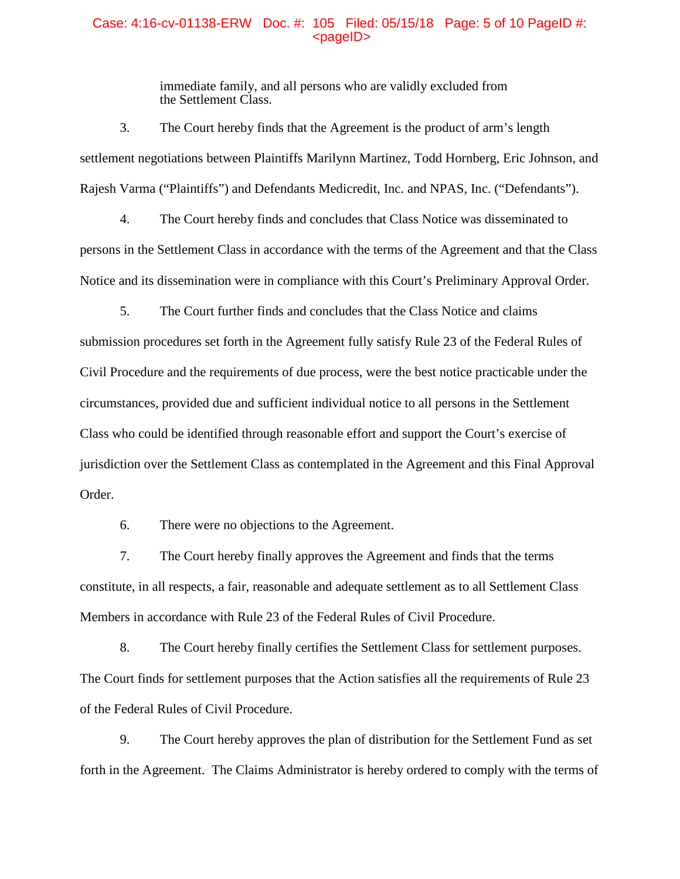#### Case: 4:16-cv-01138-ERW Doc. #: 105 Filed: 05/15/18 Page: 5 of 10 PageID #:  $<$ pageID $>$

immediate family, and all persons who are validly excluded from the Settlement Class.

3. The Court hereby finds that the Agreement is the product of arm's length settlement negotiations between Plaintiffs Marilynn Martinez, Todd Hornberg, Eric Johnson, and Rajesh Varma ("Plaintiffs") and Defendants Medicredit, Inc. and NPAS, Inc. ("Defendants").

4. The Court hereby finds and concludes that Class Notice was disseminated to persons in the Settlement Class in accordance with the terms of the Agreement and that the Class Notice and its dissemination were in compliance with this Court's Preliminary Approval Order.

5. The Court further finds and concludes that the Class Notice and claims submission procedures set forth in the Agreement fully satisfy Rule 23 of the Federal Rules of Civil Procedure and the requirements of due process, were the best notice practicable under the circumstances, provided due and sufficient individual notice to all persons in the Settlement Class who could be identified through reasonable effort and support the Court's exercise of jurisdiction over the Settlement Class as contemplated in the Agreement and this Final Approval Order.

6. There were no objections to the Agreement.

7. The Court hereby finally approves the Agreement and finds that the terms constitute, in all respects, a fair, reasonable and adequate settlement as to all Settlement Class Members in accordance with Rule 23 of the Federal Rules of Civil Procedure.

8. The Court hereby finally certifies the Settlement Class for settlement purposes. The Court finds for settlement purposes that the Action satisfies all the requirements of Rule 23 of the Federal Rules of Civil Procedure.

9. The Court hereby approves the plan of distribution for the Settlement Fund as set forth in the Agreement. The Claims Administrator is hereby ordered to comply with the terms of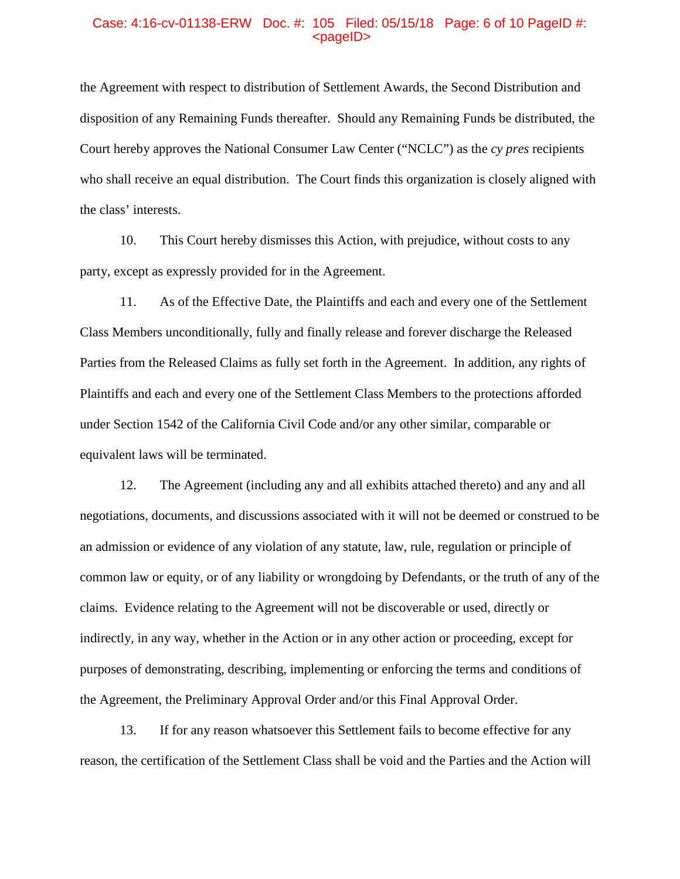# Case: 4:16-cv-01138-ERW Doc. #: 105 Filed: 05/15/18 Page: 6 of 10 PageID #:  $<$ pageID $>$

the Agreement with respect to distribution of Settlement Awards, the Second Distribution and disposition of any Remaining Funds thereafter. Should any Remaining Funds be distributed, the Court hereby approves the National Consumer Law Center ("NCLC") as the *cy pres* recipients who shall receive an equal distribution. The Court finds this organization is closely aligned with the class' interests.

10. This Court hereby dismisses this Action, with prejudice, without costs to any party, except as expressly provided for in the Agreement.

11. As of the Effective Date, the Plaintiffs and each and every one of the Settlement Class Members unconditionally, fully and finally release and forever discharge the Released Parties from the Released Claims as fully set forth in the Agreement. In addition, any rights of Plaintiffs and each and every one of the Settlement Class Members to the protections afforded under Section 1542 of the California Civil Code and/or any other similar, comparable or equivalent laws will be terminated.

12. The Agreement (including any and all exhibits attached thereto) and any and all negotiations, documents, and discussions associated with it will not be deemed or construed to be an admission or evidence of any violation of any statute, law, rule, regulation or principle of common law or equity, or of any liability or wrongdoing by Defendants, or the truth of any of the claims. Evidence relating to the Agreement will not be discoverable or used, directly or indirectly, in any way, whether in the Action or in any other action or proceeding, except for purposes of demonstrating, describing, implementing or enforcing the terms and conditions of the Agreement, the Preliminary Approval Order and/or this Final Approval Order.

13. If for any reason whatsoever this Settlement fails to become effective for any reason, the certification of the Settlement Class shall be void and the Parties and the Action will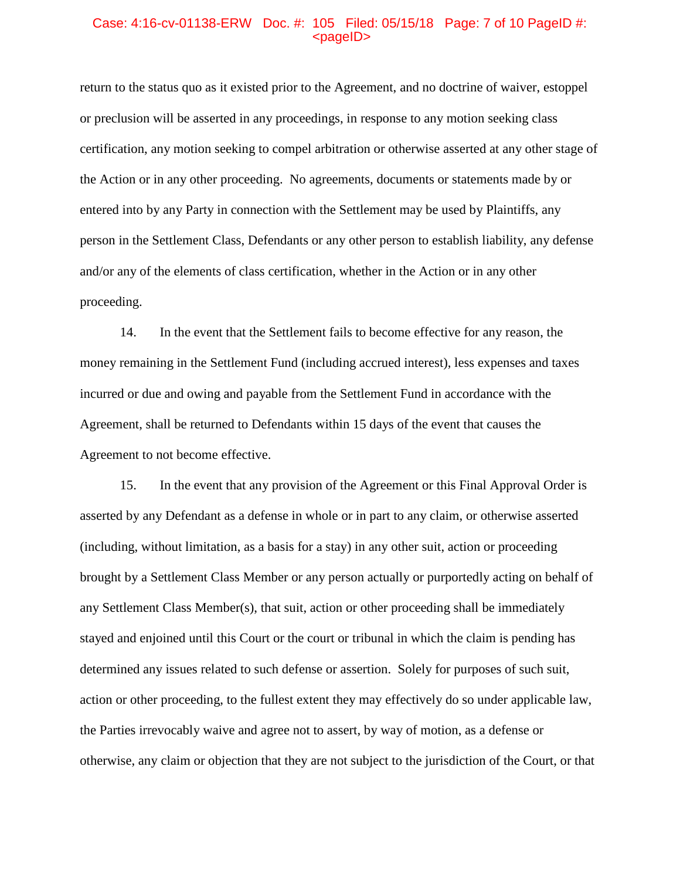# Case: 4:16-cv-01138-ERW Doc. #: 105 Filed: 05/15/18 Page: 7 of 10 PageID #:  $<$ pageID $>$

return to the status quo as it existed prior to the Agreement, and no doctrine of waiver, estoppel or preclusion will be asserted in any proceedings, in response to any motion seeking class certification, any motion seeking to compel arbitration or otherwise asserted at any other stage of the Action or in any other proceeding. No agreements, documents or statements made by or entered into by any Party in connection with the Settlement may be used by Plaintiffs, any person in the Settlement Class, Defendants or any other person to establish liability, any defense and/or any of the elements of class certification, whether in the Action or in any other proceeding.

14. In the event that the Settlement fails to become effective for any reason, the money remaining in the Settlement Fund (including accrued interest), less expenses and taxes incurred or due and owing and payable from the Settlement Fund in accordance with the Agreement, shall be returned to Defendants within 15 days of the event that causes the Agreement to not become effective.

15. In the event that any provision of the Agreement or this Final Approval Order is asserted by any Defendant as a defense in whole or in part to any claim, or otherwise asserted (including, without limitation, as a basis for a stay) in any other suit, action or proceeding brought by a Settlement Class Member or any person actually or purportedly acting on behalf of any Settlement Class Member(s), that suit, action or other proceeding shall be immediately stayed and enjoined until this Court or the court or tribunal in which the claim is pending has determined any issues related to such defense or assertion. Solely for purposes of such suit, action or other proceeding, to the fullest extent they may effectively do so under applicable law, the Parties irrevocably waive and agree not to assert, by way of motion, as a defense or otherwise, any claim or objection that they are not subject to the jurisdiction of the Court, or that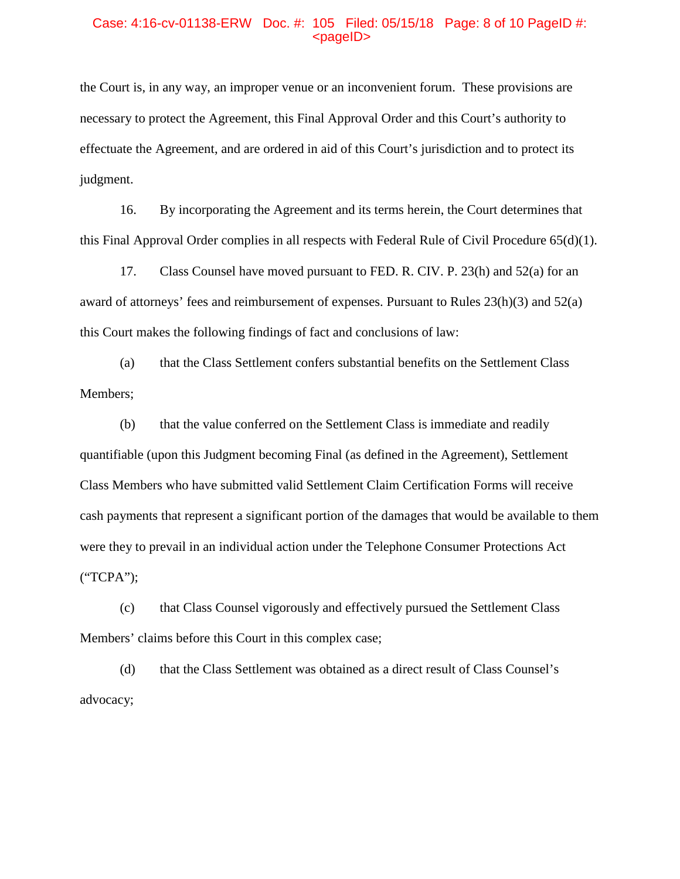# Case: 4:16-cv-01138-ERW Doc. #: 105 Filed: 05/15/18 Page: 8 of 10 PageID #:  $<$ pageID $>$

the Court is, in any way, an improper venue or an inconvenient forum. These provisions are necessary to protect the Agreement, this Final Approval Order and this Court's authority to effectuate the Agreement, and are ordered in aid of this Court's jurisdiction and to protect its judgment.

16. By incorporating the Agreement and its terms herein, the Court determines that this Final Approval Order complies in all respects with Federal Rule of Civil Procedure 65(d)(1).

17. Class Counsel have moved pursuant to FED. R. CIV. P. 23(h) and 52(a) for an award of attorneys' fees and reimbursement of expenses. Pursuant to Rules 23(h)(3) and 52(a) this Court makes the following findings of fact and conclusions of law:

(a) that the Class Settlement confers substantial benefits on the Settlement Class Members;

(b) that the value conferred on the Settlement Class is immediate and readily quantifiable (upon this Judgment becoming Final (as defined in the Agreement), Settlement Class Members who have submitted valid Settlement Claim Certification Forms will receive cash payments that represent a significant portion of the damages that would be available to them were they to prevail in an individual action under the Telephone Consumer Protections Act ("TCPA");

(c) that Class Counsel vigorously and effectively pursued the Settlement Class Members' claims before this Court in this complex case;

(d) that the Class Settlement was obtained as a direct result of Class Counsel's advocacy;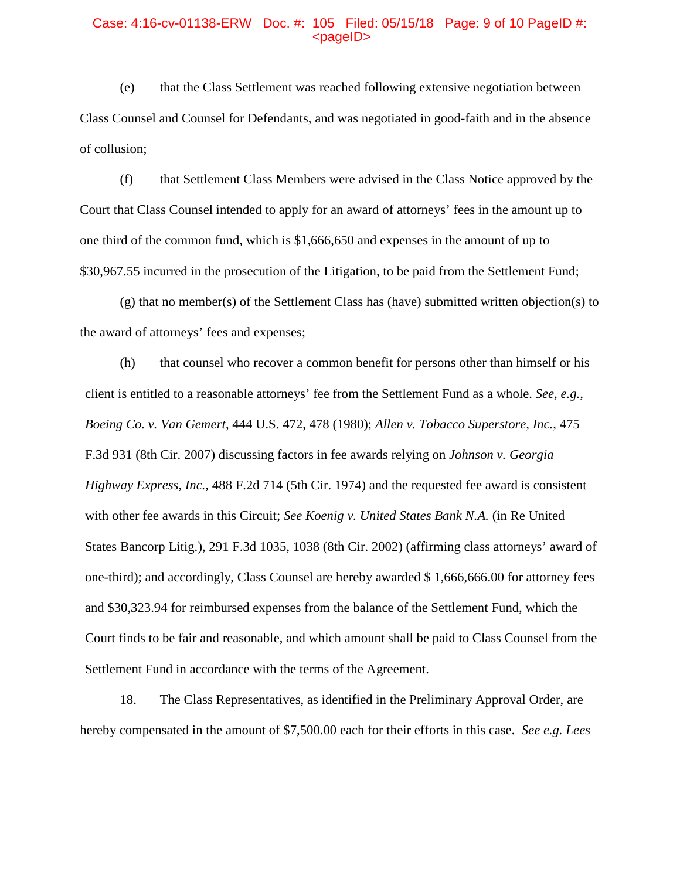# Case: 4:16-cv-01138-ERW Doc. #: 105 Filed: 05/15/18 Page: 9 of 10 PageID #:  $<$ pageID $>$

(e) that the Class Settlement was reached following extensive negotiation between Class Counsel and Counsel for Defendants, and was negotiated in good-faith and in the absence of collusion;

(f) that Settlement Class Members were advised in the Class Notice approved by the Court that Class Counsel intended to apply for an award of attorneys' fees in the amount up to one third of the common fund, which is \$1,666,650 and expenses in the amount of up to \$30,967.55 incurred in the prosecution of the Litigation, to be paid from the Settlement Fund;

 $(g)$  that no member(s) of the Settlement Class has (have) submitted written objection(s) to the award of attorneys' fees and expenses;

(h) that counsel who recover a common benefit for persons other than himself or his client is entitled to a reasonable attorneys' fee from the Settlement Fund as a whole. *See, e.g., Boeing Co. v. Van Gemert*, 444 U.S. 472, 478 (1980); *Allen v. Tobacco Superstore, Inc.*, 475 F.3d 931 (8th Cir. 2007) discussing factors in fee awards relying on *Johnson v. Georgia Highway Express, Inc.*, 488 F.2d 714 (5th Cir. 1974) and the requested fee award is consistent with other fee awards in this Circuit; *See Koenig v. United States Bank N.A.* (in Re United States Bancorp Litig.), 291 F.3d 1035, 1038 (8th Cir. 2002) (affirming class attorneys' award of one-third); and accordingly, Class Counsel are hereby awarded \$ 1,666,666.00 for attorney fees and \$30,323.94 for reimbursed expenses from the balance of the Settlement Fund, which the Court finds to be fair and reasonable, and which amount shall be paid to Class Counsel from the Settlement Fund in accordance with the terms of the Agreement.

18. The Class Representatives, as identified in the Preliminary Approval Order, are hereby compensated in the amount of \$7,500.00 each for their efforts in this case. *See e.g. Lees*